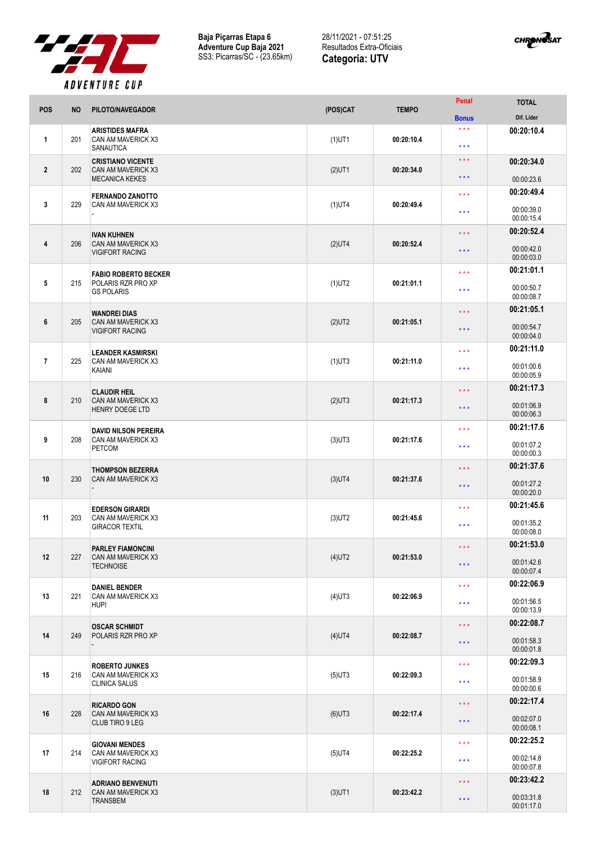

**Baja Piçarras Etapa 6 Adventure Cup Baja 2021** SS3: Picarras/SC - (23.65km)

28/11/2021 - 07:51:25 Resultados Extra-Oficiais **Categoria: UTV**



| <b>POS</b>     | <b>NO</b> | PILOTO/NAVEGADOR                                                           | (POS)CAT  | <b>TEMPO</b> | Penal                                      | <b>TOTAL</b>                           |
|----------------|-----------|----------------------------------------------------------------------------|-----------|--------------|--------------------------------------------|----------------------------------------|
|                |           |                                                                            |           |              | <b>Bonus</b>                               | Dif. Lider                             |
| $\mathbf{1}$   | 201       | <b>ARISTIDES MAFRA</b><br>CAN AM MAVERICK X3<br><b>SANAUTICA</b>           | $(1)$ UT1 | 00:20:10.4   | $\star \star \star$<br>$\star \star \star$ | 00:20:10.4                             |
| $\overline{2}$ | 202       | <b>CRISTIANO VICENTE</b><br>CAN AM MAVERICK X3<br><b>MECANICA KEKES</b>    | $(2)$ UT1 | 00:20:34.0   | $\star \star \star$<br>$\star \star \star$ | 00:20:34.0<br>00:00:23.6               |
|                |           |                                                                            |           |              |                                            |                                        |
| 3              | 229       | <b>FERNANDO ZANOTTO</b><br>CAN AM MAVERICK X3                              | $(1)$ UT4 | 00:20:49.4   | $\star \star \star$<br>$***$               | 00:20:49.4<br>00:00:39.0<br>00:00:15.4 |
|                |           |                                                                            |           |              |                                            | 00:20:52.4                             |
| $\overline{4}$ | 206       | <b>IVAN KUHNEN</b><br>CAN AM MAVERICK X3<br><b>VIGIFORT RACING</b>         | $(2)$ UT4 | 00:20:52.4   | $\star \star \star$<br>$***$               | 00:00:42.0<br>00:00:03.0               |
|                |           |                                                                            |           |              | $\star \star \star$                        | 00:21:01.1                             |
| $\sqrt{5}$     | 215       | <b>FABIO ROBERTO BECKER</b><br>POLARIS RZR PRO XP<br><b>GS POLARIS</b>     | $(1)$ UT2 | 00:21:01.1   | $***$                                      | 00:00:50.7<br>00:00:08.7               |
|                |           |                                                                            |           | 00:21:05.1   | $\star \star \star$                        | 00:21:05.1                             |
| $6\phantom{1}$ | 205       | <b>WANDREI DIAS</b><br>CAN AM MAVERICK X3<br><b>VIGIFORT RACING</b>        | $(2)$ UT2 |              | $\star \star \star$                        | 00:00:54.7<br>00:00:04.0               |
|                |           |                                                                            |           |              | $\star \star \star$                        | 00:21:11.0                             |
| $\overline{7}$ | 225       | <b>LEANDER KASMIRSKI</b><br>CAN AM MAVERICK X3<br>KAIANI                   | $(1)$ UT3 | 00:21:11.0   | $\star \star \star$                        | 00:01:00.6<br>00:00:05.9               |
|                |           |                                                                            |           |              | $\star$ $\star$ $\star$                    | 00:21:17.3                             |
| 8              | 210       | <b>CLAUDIR HEIL</b><br><b>CAN AM MAVERICK X3</b><br><b>HENRY DOEGE LTD</b> | $(2)$ UT3 | 00:21:17.3   | $\star \star \star$                        | 00:01:06.9<br>00:00:06.3               |
|                |           |                                                                            |           |              | $\star \star \star$                        | 00:21:17.6                             |
| 9              | 208       | <b>DAVID NILSON PEREIRA</b><br>CAN AM MAVERICK X3                          | $(3)$ UT3 | 00:21:17.6   |                                            |                                        |
|                |           | <b>PETCOM</b>                                                              |           |              | $\star \star \star$                        | 00:01:07.2<br>00:00:00.3               |
|                |           |                                                                            |           | 00:21:37.6   |                                            | 00:21:37.6                             |
| 10             | 230       | <b>THOMPSON BEZERRA</b><br>CAN AM MAVERICK X3                              | $(3)$ UT4 |              | $\star \star \star$<br>$\star \star \star$ | 00:01:27.2<br>00:00:20.0               |
|                |           |                                                                            |           | 00:21:45.6   | $\star \star \star$                        | 00:21:45.6                             |
| 11             | 203       | <b>EDERSON GIRARDI</b><br>CAN AM MAVERICK X3<br><b>GIRACOR TEXTIL</b>      | $(3)$ UT2 |              | $***$                                      | 00:01:35.2<br>00:00:08.0               |
|                |           |                                                                            |           | 00:21:53.0   | $\star$ $\star$ $\star$                    | 00:21:53.0                             |
| 12             | 227       | <b>PARLEY FIAMONCINI</b><br>CAN AM MAVERICK X3<br><b>TECHNOISE</b>         | $(4)$ UT2 |              | $\star \star \star$                        | 00:01:42.6<br>00:00:07.4               |
|                |           |                                                                            |           | 00:22:06.9   | $***$                                      | 00:22:06.9                             |
| 13             | 221       | <b>DANIEL BENDER</b><br>CAN AM MAVERICK X3<br><b>HUPI</b>                  | $(4)$ UT3 |              | $\star \star \star$                        | 00:01:56.5<br>00:00:13.9               |
|                |           | <b>OSCAR SCHMIDT</b>                                                       |           | 00:22:08.7   | $\star$ $\star$ $\star$                    | 00:22:08.7                             |
| 14             | 249       | POLARIS RZR PRO XP                                                         | $(4)$ UT4 |              | $\star$ $\star$ $\star$                    | 00:01:58.3<br>00:00:01.8               |
|                | 216       | <b>ROBERTO JUNKES</b><br>CAN AM MAVERICK X3<br><b>CLINICA SALUS</b>        | $(5)$ UT3 | 00:22:09.3   | $\star \star \star$                        | 00:22:09.3                             |
| 15             |           |                                                                            |           |              | $\star \star \star$                        | 00:01:58.9<br>00:00:00.6               |
|                |           |                                                                            |           |              | $\star \star \star$                        | 00:22:17.4                             |
| 16             | 228       | <b>RICARDO GON</b><br>CAN AM MAVERICK X3<br><b>CLUB TIRO 9 LEG</b>         | $(6)$ UT3 | 00:22:17.4   | $\star$ $\star$ $\star$                    | 00:02:07.0<br>00:00:08.1               |
|                |           |                                                                            |           | 00:22:25.2   | $\star \star \star$                        | 00:22:25.2                             |
| 17             | 214       | <b>GIOVANI MENDES</b><br>CAN AM MAVERICK X3<br><b>VIGIFORT RACING</b>      | $(5)$ UT4 |              | $\star$ $\star$ $\star$                    | 00:02:14.8<br>00:00:07.8               |
|                |           |                                                                            |           |              | $\star \star \star$                        | 00:23:42.2                             |
| 18             | 212       | <b>ADRIANO BENVENUTI</b><br>CAN AM MAVERICK X3<br><b>TRANSBEM</b>          | $(3)$ UT1 | 00:23:42.2   | $\star$ $\star$ $\star$                    | 00:03:31.8<br>00:01:17.0               |
|                |           |                                                                            |           |              |                                            |                                        |